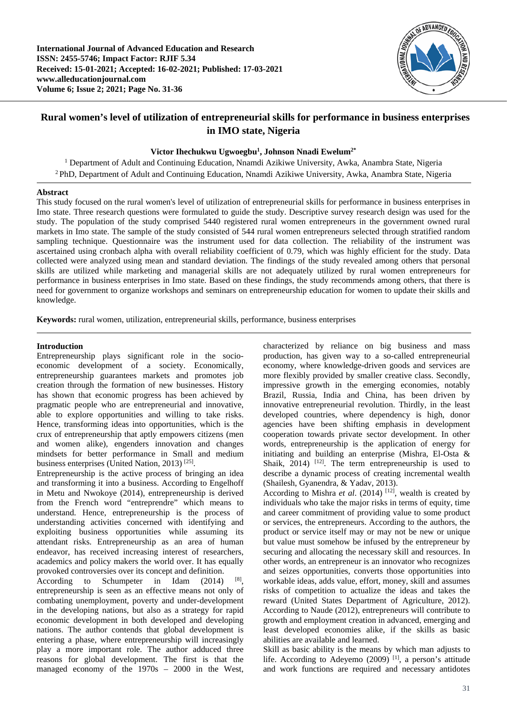

# **Rural women's level of utilization of entrepreneurial skills for performance in business enterprises in IMO state, Nigeria**

# **Victor Ihechukwu Ugwoegbu1 , Johnson Nnadi Ewelum2\***

<sup>1</sup> Department of Adult and Continuing Education, Nnamdi Azikiwe University, Awka, Anambra State, Nigeria 2 PhD, Department of Adult and Continuing Education, Nnamdi Azikiwe University, Awka, Anambra State, Nigeria

### **Abstract**

This study focused on the rural women's level of utilization of entrepreneurial skills for performance in business enterprises in Imo state. Three research questions were formulated to guide the study. Descriptive survey research design was used for the study. The population of the study comprised 5440 registered rural women entrepreneurs in the government owned rural markets in Imo state. The sample of the study consisted of 544 rural women entrepreneurs selected through stratified random sampling technique. Questionnaire was the instrument used for data collection. The reliability of the instrument was ascertained using cronbach alpha with overall reliability coefficient of 0.79, which was highly efficient for the study. Data collected were analyzed using mean and standard deviation. The findings of the study revealed among others that personal skills are utilized while marketing and managerial skills are not adequately utilized by rural women entrepreneurs for performance in business enterprises in Imo state. Based on these findings, the study recommends among others, that there is need for government to organize workshops and seminars on entrepreneurship education for women to update their skills and knowledge.

**Keywords:** rural women, utilization, entrepreneurial skills, performance, business enterprises

### **Introduction**

Entrepreneurship plays significant role in the socioeconomic development of a society. Economically, entrepreneurship guarantees markets and promotes job creation through the formation of new businesses. History has shown that economic progress has been achieved by pragmatic people who are entrepreneurial and innovative, able to explore opportunities and willing to take risks. Hence, transforming ideas into opportunities, which is the crux of entrepreneurship that aptly empowers citizens (men and women alike), engenders innovation and changes mindsets for better performance in Small and medium business enterprises (United Nation, 2013) [25].

Entrepreneurship is the active process of bringing an idea and transforming it into a business. According to Engelhoff in Metu and Nwokoye (2014), entrepreneurship is derived from the French word "entreprendre" which means to understand. Hence, entrepreneurship is the process of understanding activities concerned with identifying and exploiting business opportunities while assuming its attendant risks. Entrepreneurship as an area of human endeavor, has received increasing interest of researchers, academics and policy makers the world over. It has equally provoked controversies over its concept and definition.

According to Schumpeter in Idam (2014) [8], entrepreneurship is seen as an effective means not only of combating unemployment, poverty and under-development in the developing nations, but also as a strategy for rapid economic development in both developed and developing nations. The author contends that global development is entering a phase, where entrepreneurship will increasingly play a more important role. The author adduced three reasons for global development. The first is that the managed economy of the 1970s – 2000 in the West, characterized by reliance on big business and mass production, has given way to a so-called entrepreneurial economy, where knowledge-driven goods and services are more flexibly provided by smaller creative class. Secondly, impressive growth in the emerging economies, notably Brazil, Russia, India and China, has been driven by innovative entrepreneurial revolution. Thirdly, in the least developed countries, where dependency is high, donor agencies have been shifting emphasis in development cooperation towards private sector development. In other words, entrepreneurship is the application of energy for initiating and building an enterprise (Mishra, El-Osta & Shaik,  $2014$ ) <sup>[12]</sup>. The term entrepreneurship is used to describe a dynamic process of creating incremental wealth (Shailesh, Gyanendra, & Yadav, 2013).

According to Mishra *et al.* (2014) <sup>[12]</sup>, wealth is created by individuals who take the major risks in terms of equity, time and career commitment of providing value to some product or services, the entrepreneurs. According to the authors, the product or service itself may or may not be new or unique but value must somehow be infused by the entrepreneur by securing and allocating the necessary skill and resources. In other words, an entrepreneur is an innovator who recognizes and seizes opportunities, converts those opportunities into workable ideas, adds value, effort, money, skill and assumes risks of competition to actualize the ideas and takes the reward (United States Department of Agriculture, 2012). According to Naude (2012), entrepreneurs will contribute to growth and employment creation in advanced, emerging and least developed economies alike, if the skills as basic abilities are available and learned.

Skill as basic ability is the means by which man adjusts to life. According to Adeyemo  $(2009)$ <sup>[1]</sup>, a person's attitude and work functions are required and necessary antidotes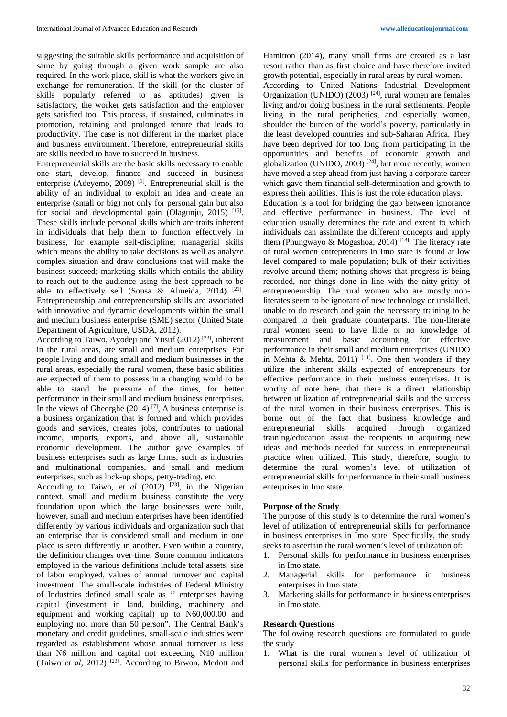suggesting the suitable skills performance and acquisition of same by going through a given work sample are also required. In the work place, skill is what the workers give in exchange for remuneration. If the skill (or the cluster of skills popularly referred to as aptitudes) given is satisfactory, the worker gets satisfaction and the employer gets satisfied too. This process, if sustained, culminates in promotion, retaining and prolonged tenure that leads to productivity. The case is not different in the market place and business environment. Therefore, entrepreneurial skills are skills needed to have to succeed in business.

Entrepreneurial skills are the basic skills necessary to enable one start, develop, finance and succeed in business enterprise (Adeyemo, 2009) [1]. Entrepreneurial skill is the ability of an individual to exploit an idea and create an enterprise (small or big) not only for personal gain but also for social and developmental gain (Olagunju, 2015)  $^{[15]}$ . These skills include personal skills which are traits inherent in individuals that help them to function effectively in business, for example self-discipline; managerial skills which means the ability to take decisions as well as analyze complex situation and draw conclusions that will make the business succeed; marketing skills which entails the ability to reach out to the audience using the best approach to be able to effectively sell (Sousa & Almeida, 2014) [21]. Entrepreneurship and entrepreneurship skills are associated with innovative and dynamic developments within the small and medium business enterprise (SME) sector (United State Department of Agriculture, USDA, 2012).

According to Taiwo, Ayodeji and Yusuf (2012) [23], inherent in the rural areas, are small and medium enterprises. For people living and doing small and medium businesses in the rural areas, especially the rural women, these basic abilities are expected of them to possess in a changing world to be able to stand the pressure of the times, for better performance in their small and medium business enterprises. In the views of Gheorghe  $(2014)$  [7], A business enterprise is a business organization that is formed and which provides goods and services, creates jobs, contributes to national income, imports, exports, and above all, sustainable economic development. The author gave examples of business enterprises such as large firms, such as industries and multinational companies, and small and medium enterprises, such as lock-up shops, petty-trading, etc.

According to Taiwo, *et al* (2012)<sup>[23]</sup>, in the Nigerian context, small and medium business constitute the very foundation upon which the large businesses were built, however, small and medium enterprises have been identified differently by various individuals and organization such that an enterprise that is considered small and medium in one place is seen differently in another. Even within a country, the definition changes over time. Some common indicators employed in the various definitions include total assets, size of labor employed, values of annual turnover and capital investment. The small-scale industries of Federal Ministry of Industries defined small scale as '' enterprises having capital (investment in land, building, machinery and equipment and working capital) up to N60,000.00 and employing not more than 50 person". The Central Bank's monetary and credit guidelines, small-scale industries were regarded as establishment whose annual turnover is less than N6 million and capital not exceeding N10 million (Taiwo *et al*, 2012) [23]. According to Brwon, Medott and Hamitton (2014), many small firms are created as a last resort rather than as first choice and have therefore invited growth potential, especially in rural areas by rural women.

According to United Nations Industrial Development Organization (UNIDO) (2003)  $[24]$ , rural women are females living and/or doing business in the rural settlements. People living in the rural peripheries, and especially women, shoulder the burden of the world's poverty, particularly in the least developed countries and sub-Saharan Africa. They have been deprived for too long from participating in the opportunities and benefits of economic growth and globalization (UNIDO, 2003)  $[24]$ , but more recently, women have moved a step ahead from just having a corporate career which gave them financial self-determination and growth to express their abilities. This is just the role education plays. Education is a tool for bridging the gap between ignorance and effective performance in business. The level of education usually determines the rate and extent to which individuals can assimilate the different concepts and apply them (Phungwayo & Mogashoa, 2014) <sup>[18]</sup>. The literacy rate of rural women entrepreneurs in Imo state is found at low level compared to male population; bulk of their activities revolve around them; nothing shows that progress is being recorded, nor things done in line with the nitty-gritty of entrepreneurship. The rural women who are mostly nonliterates seem to be ignorant of new technology or unskilled, unable to do research and gain the necessary training to be

compared to their graduate counterparts. The non-literate rural women seem to have little or no knowledge of measurement and basic accounting for effective performance in their small and medium enterprises (UNIDO in Mehta & Mehta, 2011) <sup>[11]</sup>. One then wonders if they utilize the inherent skills expected of entrepreneurs for effective performance in their business enterprises. It is worthy of note here, that there is a direct relationship between utilization of entrepreneurial skills and the success of the rural women in their business enterprises. This is borne out of the fact that business knowledge and entrepreneurial skills acquired through organized training/education assist the recipients in acquiring new ideas and methods needed for success in entrepreneurial practice when utilized. This study, therefore, sought to determine the rural women's level of utilization of entrepreneurial skills for performance in their small business enterprises in Imo state.

### **Purpose of the Study**

The purpose of this study is to determine the rural women's level of utilization of entrepreneurial skills for performance in business enterprises in Imo state. Specifically, the study seeks to ascertain the rural women's level of utilization of:

- 1. Personal skills for performance in business enterprises in Imo state.
- 2. Managerial skills for performance in business enterprises in Imo state.
- Marketing skills for performance in business enterprises in Imo state.

#### **Research Questions**

The following research questions are formulated to guide the study

1. What is the rural women's level of utilization of personal skills for performance in business enterprises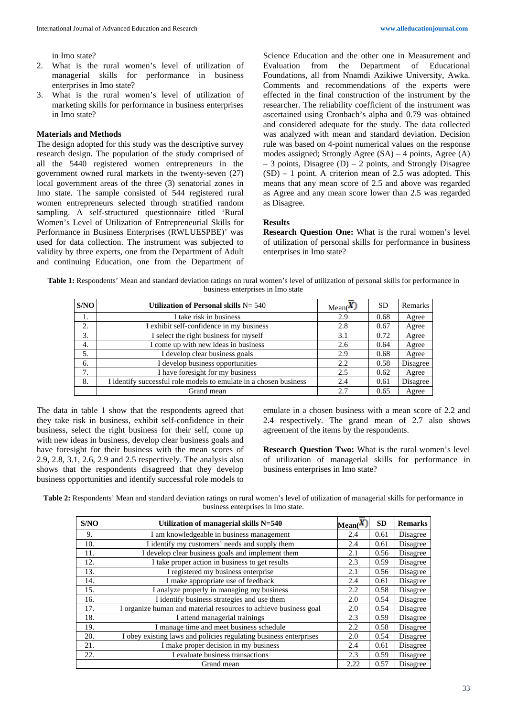in Imo state?

- 2. What is the rural women's level of utilization of managerial skills for performance in business enterprises in Imo state?
- 3. What is the rural women's level of utilization of marketing skills for performance in business enterprises in Imo state?

### **Materials and Methods**

The design adopted for this study was the descriptive survey research design. The population of the study comprised of all the 5440 registered women entrepreneurs in the government owned rural markets in the twenty-seven (27) local government areas of the three (3) senatorial zones in Imo state. The sample consisted of 544 registered rural women entrepreneurs selected through stratified random sampling. A self-structured questionnaire titled 'Rural Women's Level of Utilization of Entrepreneurial Skills for Performance in Business Enterprises (RWLUESPBE)' was used for data collection. The instrument was subjected to validity by three experts, one from the Department of Adult and continuing Education, one from the Department of

Science Education and the other one in Measurement and Evaluation from the Department of Educational Foundations, all from Nnamdi Azikiwe University, Awka. Comments and recommendations of the experts were effected in the final construction of the instrument by the researcher. The reliability coefficient of the instrument was ascertained using Cronbach's alpha and 0.79 was obtained and considered adequate for the study. The data collected was analyzed with mean and standard deviation. Decision rule was based on 4-point numerical values on the response modes assigned; Strongly Agree  $(SA) - 4$  points, Agree  $(A)$  $-3$  points, Disagree (D)  $-2$  points, and Strongly Disagree  $(SD) - 1$  point. A criterion mean of 2.5 was adopted. This means that any mean score of 2.5 and above was regarded as Agree and any mean score lower than 2.5 was regarded as Disagree.

# **Results**

**Research Question One:** What is the rural women's level of utilization of personal skills for performance in business enterprises in Imo state?

**Table 1:** Respondents' Mean and standard deviation ratings on rural women's level of utilization of personal skills for performance in business enterprises in Imo state

| S/NO | Utilization of Personal skills $N = 540$                          | Mean(X) | <b>SD</b> | Remarks  |
|------|-------------------------------------------------------------------|---------|-----------|----------|
| 1.   | I take risk in business                                           | 2.9     | 0.68      | Agree    |
| 2.   | I exhibit self-confidence in my business                          | 2.8     | 0.67      | Agree    |
| 3.   | I select the right business for myself                            | 3.1     | 0.72      | Agree    |
| 4.   | I come up with new ideas in business                              | 2.6     | 0.64      | Agree    |
| 5.   | I develop clear business goals                                    | 2.9     | 0.68      | Agree    |
| 6.   | I develop business opportunities                                  | 2.2     | 0.58      | Disagree |
| 7.   | I have foresight for my business                                  | 2.5     | 0.62      | Agree    |
| 8.   | I identify successful role models to emulate in a chosen business | 2.4     | 0.61      | Disagree |
|      | Grand mean                                                        | 2.7     | 0.65      | Agree    |

The data in table 1 show that the respondents agreed that they take risk in business, exhibit self-confidence in their business, select the right business for their self, come up with new ideas in business, develop clear business goals and have foresight for their business with the mean scores of 2.9, 2.8, 3.1, 2.6, 2.9 and 2.5 respectively. The analysis also shows that the respondents disagreed that they develop business opportunities and identify successful role models to emulate in a chosen business with a mean score of 2.2 and 2.4 respectively. The grand mean of 2.7 also shows agreement of the items by the respondents.

**Research Question Two:** What is the rural women's level of utilization of managerial skills for performance in business enterprises in Imo state?

**Table 2:** Respondents' Mean and standard deviation ratings on rural women's level of utilization of managerial skills for performance in business enterprises in Imo state.

| S/NO | Utilization of managerial skills N=540                            | $\mathbf{Mean}(\mathbf{X})$ | <b>SD</b> | <b>Remarks</b> |
|------|-------------------------------------------------------------------|-----------------------------|-----------|----------------|
| 9.   | I am knowledgeable in business management                         | 2.4                         | 0.61      | Disagree       |
| 10.  | I identify my customers' needs and supply them                    | 2.4                         | 0.61      | Disagree       |
| 11.  | I develop clear business goals and implement them                 | 2.1                         | 0.56      | Disagree       |
| 12.  | I take proper action in business to get results                   | 2.3                         | 0.59      | Disagree       |
| 13.  | I registered my business enterprise                               | 2.1                         | 0.56      | Disagree       |
| 14.  | I make appropriate use of feedback                                | 2.4                         | 0.61      | Disagree       |
| 15.  | I analyze properly in managing my business                        | 2.2                         | 0.58      | Disagree       |
| 16.  | I identify business strategies and use them                       | 2.0                         | 0.54      | Disagree       |
| 17.  | I organize human and material resources to achieve business goal  | 2.0                         | 0.54      | Disagree       |
| 18.  | I attend managerial trainings                                     | 2.3                         | 0.59      | Disagree       |
| 19.  | I manage time and meet business schedule                          | 2.2                         | 0.58      | Disagree       |
| 20.  | I obey existing laws and policies regulating business enterprises | 2.0                         | 0.54      | Disagree       |
| 21.  | I make proper decision in my business                             | 2.4                         | 0.61      | Disagree       |
| 22.  | I evaluate business transactions                                  | 2.3                         | 0.59      | Disagree       |
|      | Grand mean                                                        | 2.22                        | 0.57      | Disagree       |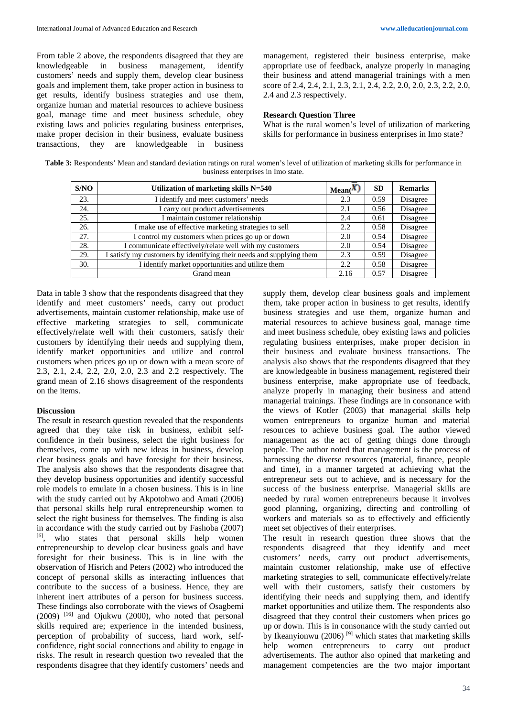From table 2 above, the respondents disagreed that they are knowledgeable in business management, identify customers' needs and supply them, develop clear business goals and implement them, take proper action in business to get results, identify business strategies and use them, organize human and material resources to achieve business goal, manage time and meet business schedule, obey existing laws and policies regulating business enterprises, make proper decision in their business, evaluate business transactions, they are knowledgeable in business management, registered their business enterprise, make appropriate use of feedback, analyze properly in managing their business and attend managerial trainings with a men score of 2.4, 2.4, 2.1, 2.3, 2.1, 2.4, 2.2, 2.0, 2.0, 2.3, 2.2, 2.0, 2.4 and 2.3 respectively.

#### **Research Question Three**

What is the rural women's level of utilization of marketing skills for performance in business enterprises in Imo state?

Table 3: Respondents' Mean and standard deviation ratings on rural women's level of utilization of marketing skills for performance in business enterprises in Imo state.

| S/NO | Utilization of marketing skills N=540                                | Mean(X) | <b>SD</b> | <b>Remarks</b> |
|------|----------------------------------------------------------------------|---------|-----------|----------------|
| 23.  | I identify and meet customers' needs                                 | 2.3     | 0.59      | Disagree       |
| 24.  | I carry out product advertisements                                   | 2.1     | 0.56      | Disagree       |
| 25.  | I maintain customer relationship                                     | 2.4     | 0.61      | Disagree       |
| 26.  | I make use of effective marketing strategies to sell                 | 2.2     | 0.58      | Disagree       |
| 27.  | I control my customers when prices go up or down                     | 2.0     | 0.54      | Disagree       |
| 28.  | I communicate effectively/relate well with my customers              | 2.0     | 0.54      | Disagree       |
| 29.  | I satisfy my customers by identifying their needs and supplying them | 2.3     | 0.59      | Disagree       |
| 30.  | I identify market opportunities and utilize them                     | 2.2     | 0.58      | Disagree       |
|      | Grand mean                                                           | 2.16    | 0.57      | Disagree       |

Data in table 3 show that the respondents disagreed that they identify and meet customers' needs, carry out product advertisements, maintain customer relationship, make use of effective marketing strategies to sell, communicate effectively/relate well with their customers, satisfy their customers by identifying their needs and supplying them, identify market opportunities and utilize and control customers when prices go up or down with a mean score of 2.3, 2.1, 2.4, 2.2, 2.0, 2.0, 2.3 and 2.2 respectively. The grand mean of 2.16 shows disagreement of the respondents on the items.

#### **Discussion**

The result in research question revealed that the respondents agreed that they take risk in business, exhibit selfconfidence in their business, select the right business for themselves, come up with new ideas in business, develop clear business goals and have foresight for their business. The analysis also shows that the respondents disagree that they develop business opportunities and identify successful role models to emulate in a chosen business. This is in line with the study carried out by Akpotohwo and Amati (2006) that personal skills help rural entrepreneurship women to select the right business for themselves. The finding is also in accordance with the study carried out by Fashoba (2007) [6], who states that personal skills help women entrepreneurship to develop clear business goals and have foresight for their business. This is in line with the observation of Hisrich and Peters (2002) who introduced the concept of personal skills as interacting influences that contribute to the success of a business. Hence, they are inherent inert attributes of a person for business success. These findings also corroborate with the views of Osagbemi  $(2009)$  <sup>[16]</sup> and Ojukwu (2000), who noted that personal skills required are; experience in the intended business, perception of probability of success, hard work, selfconfidence, right social connections and ability to engage in risks. The result in research question two revealed that the respondents disagree that they identify customers' needs and supply them, develop clear business goals and implement them, take proper action in business to get results, identify business strategies and use them, organize human and material resources to achieve business goal, manage time and meet business schedule, obey existing laws and policies regulating business enterprises, make proper decision in their business and evaluate business transactions. The analysis also shows that the respondents disagreed that they are knowledgeable in business management, registered their business enterprise, make appropriate use of feedback, analyze properly in managing their business and attend managerial trainings. These findings are in consonance with the views of Kotler (2003) that managerial skills help women entrepreneurs to organize human and material resources to achieve business goal. The author viewed management as the act of getting things done through people. The author noted that management is the process of harnessing the diverse resources (material, finance, people and time), in a manner targeted at achieving what the entrepreneur sets out to achieve, and is necessary for the success of the business enterprise. Managerial skills are needed by rural women entrepreneurs because it involves good planning, organizing, directing and controlling of workers and materials so as to effectively and efficiently meet set objectives of their enterprises.

The result in research question three shows that the respondents disagreed that they identify and meet customers' needs, carry out product advertisements, maintain customer relationship, make use of effective marketing strategies to sell, communicate effectively/relate well with their customers, satisfy their customers by identifying their needs and supplying them, and identify market opportunities and utilize them. The respondents also disagreed that they control their customers when prices go up or down. This is in consonance with the study carried out by Ikeanyionwu (2006)<sup>[9]</sup> which states that marketing skills help women entrepreneurs to carry out product advertisements. The author also opined that marketing and management competencies are the two major important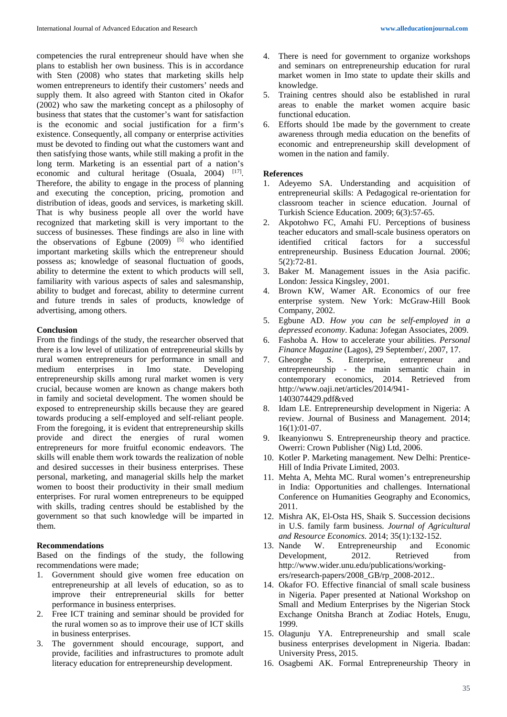competencies the rural entrepreneur should have when she plans to establish her own business. This is in accordance with Sten (2008) who states that marketing skills help women entrepreneurs to identify their customers' needs and supply them. It also agreed with Stanton cited in Okafor (2002) who saw the marketing concept as a philosophy of business that states that the customer's want for satisfaction is the economic and social justification for a firm's existence. Consequently, all company or enterprise activities must be devoted to finding out what the customers want and then satisfying those wants, while still making a profit in the long term. Marketing is an essential part of a nation's economic and cultural heritage (Osuala, 2004) <sup>[17]</sup>. Therefore, the ability to engage in the process of planning and executing the conception, pricing, promotion and distribution of ideas, goods and services, is marketing skill. That is why business people all over the world have recognized that marketing skill is very important to the success of businesses. These findings are also in line with the observations of Egbune  $(2009)$  <sup>[5]</sup> who identified important marketing skills which the entrepreneur should possess as; knowledge of seasonal fluctuation of goods, ability to determine the extent to which products will sell, familiarity with various aspects of sales and salesmanship, ability to budget and forecast, ability to determine current and future trends in sales of products, knowledge of advertising, among others.

## **Conclusion**

From the findings of the study, the researcher observed that there is a low level of utilization of entrepreneurial skills by rural women entrepreneurs for performance in small and medium enterprises in Imo state. Developing entrepreneurship skills among rural market women is very crucial, because women are known as change makers both in family and societal development. The women should be exposed to entrepreneurship skills because they are geared towards producing a self-employed and self-reliant people. From the foregoing, it is evident that entrepreneurship skills provide and direct the energies of rural women entrepreneurs for more fruitful economic endeavors. The skills will enable them work towards the realization of noble and desired successes in their business enterprises. These personal, marketing, and managerial skills help the market women to boost their productivity in their small medium enterprises. For rural women entrepreneurs to be equipped with skills, trading centres should be established by the government so that such knowledge will be imparted in them.

### **Recommendations**

Based on the findings of the study, the following recommendations were made;

- 1. Government should give women free education on entrepreneurship at all levels of education, so as to improve their entrepreneurial skills for better performance in business enterprises.
- 2. Free ICT training and seminar should be provided for the rural women so as to improve their use of ICT skills in business enterprises.
- 3. The government should encourage, support, and provide, facilities and infrastructures to promote adult literacy education for entrepreneurship development.
- 4. There is need for government to organize workshops and seminars on entrepreneurship education for rural market women in Imo state to update their skills and knowledge.
- 5. Training centres should also be established in rural areas to enable the market women acquire basic functional education.
- 6. Efforts should 1be made by the government to create awareness through media education on the benefits of economic and entrepreneurship skill development of women in the nation and family.

### **References**

- 1. Adeyemo SA. Understanding and acquisition of entrepreneurial skills: A Pedagogical re-orientation for classroom teacher in science education. Journal of Turkish Science Education. 2009; 6(3):57-65.
- 2. Akpotohwo FC, Amahi FU. Perceptions of business teacher educators and small-scale business operators on identified critical factors for a successful entrepreneurship. Business Education Journal*.* 2006; 5(2):72-81.
- 3. Baker M. Management issues in the Asia pacific. London: Jessica Kingsley, 2001.
- 4. Brown KW, Wamer AR. Economics of our free enterprise system. New York: McGraw-Hill Book Company, 2002.
- 5. Egbune AD. *How you can be self-employed in a depressed economy*. Kaduna: Jofegan Associates, 2009.
- 6. Fashoba A. How to accelerate your abilities. *Personal Finance Magazine* (Lagos), 29 September/, 2007, 17.
- 7. Gheorghe S. Enterprise, entrepreneur and entrepreneurship - the main semantic chain in contemporary economics, 2014. Retrieved from http://www.oaji.net/articles/2014/941- 1403074429.pdf&ved
- 8. Idam LE. Entrepreneurship development in Nigeria: A review. Journal of Business and Management*.* 2014; 16(1):01-07.
- 9. Ikeanyionwu S. Entrepreneurship theory and practice. Owerri: Crown Publisher (Nig) Ltd, 2006.
- 10. Kotler P. Marketing management*.* New Delhi: Prentice-Hill of India Private Limited, 2003.
- 11. Mehta A, Mehta MC. Rural women's entrepreneurship in India: Opportunities and challenges. International Conference on Humanities Geography and Economics, 2011.
- 12. Mishra AK, El-Osta HS, Shaik S. Succession decisions in U.S. family farm business. *Journal of Agricultural and Resource Economics.* 2014; 35(1):132-152.
- 13. Nande W. Entrepreneurship and Economic<br>Development. 2012. Retrieved from Development*,* 2012. Retrieved from http://www.wider.unu.edu/publications/workingers/research-papers/2008\_GB/rp\_2008-2012..
- 14. Okafor FO. Effective financial of small scale business in Nigeria. Paper presented at National Workshop on Small and Medium Enterprises by the Nigerian Stock Exchange Onitsha Branch at Zodiac Hotels, Enugu, 1999.
- 15. Olagunju YA. Entrepreneurship and small scale business enterprises development in Nigeria. Ibadan: University Press, 2015.
- 16. Osagbemi AK. Formal Entrepreneurship Theory in